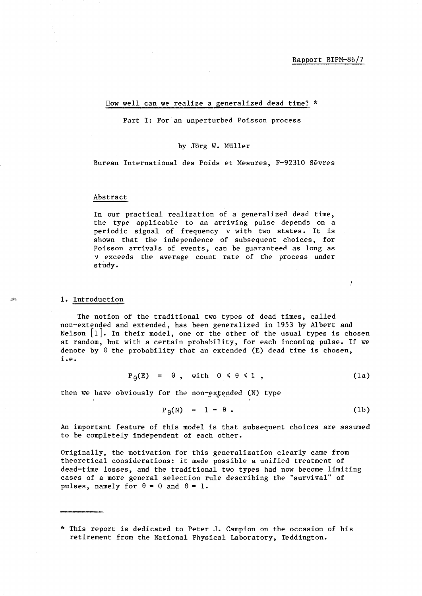İ

# How well can we realize a generalized dead time?  $*$

Part I: For an unperturbed Poisson process

### by Jörg W. Müller

Bureau International des Poids et Mesures, F-923l0 Sevres

### Abstract

In our practical realization of a generalized dead time, the type applicable to an arriving pulse depends on a periodic signal of frequency *v* with two states. It is shown that the independence of subsequent choices, for Poisson arrivals of events, can be guaranteed as long as *v* exceeds the average count rate of the process under study.

#### 1. Introduction

The notion of the traditional two types of dead times, called non-extended and extended, has been generalized in 1953 by Albert and Nelson  $\lceil 1 \rceil$ . In their model, one or the other of the usual types is chosen at random, but with a certain probability, for each incoming pulse. If we denote by  $\theta$  the probability that an extended (E) dead time is chosen, i.e.

$$
P_{\theta}(E) = \theta
$$
, with  $0 \le \theta \le 1$ , (1a)

then we have obviously for the non-extended  $(N)$  type

$$
P_{\theta}(N) = 1 - \theta . \qquad (1b)
$$

An important feature of this model is that subsequent choices are assumed to be completely independent of each other.

Originally, the motivation for this generalization clearly came from theoretical considerations: it made possible a unified treatment of dead-time losses, and the traditional two types had now become limiting cases of a more general selection rule describing the "survival" of pulses, namely for  $\theta = 0$  and  $\theta = 1$ .

<sup>\*</sup> This report is dedicated to Peter J. Campion on the occasion of his retirement from the National Physical Laboratory, Teddington.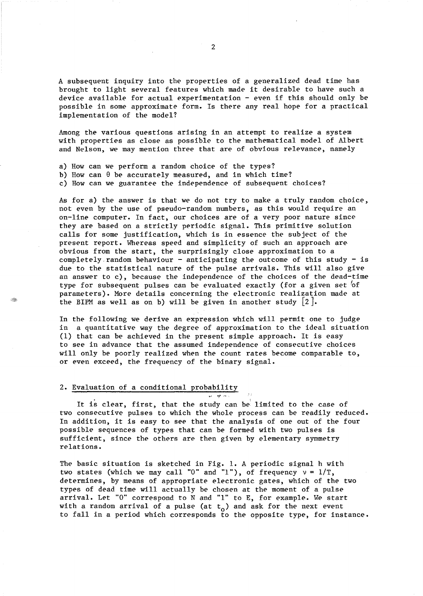A subsequent inquiry into the properties of a generalized dead time has brought to light several features which made it desirable to have such a device available for actual experimentation  $-$  even if this should only be possible in some approximate form. Is there any real hope for a practical implementation of the model?

Among the various questions arising in an attempt to realize a system with properties as close as possible to the mathematical model of Albert and Nelson, we may mention three that are of obvious relevance, namely

- a) How can we perform a random choice of the types?
- b) How can  $\theta$  be accurately measured, and in which time?
- c) How can we guarantee the independence of subsequent choices?

As for a) the answer is that we do not try to make a truly random choice, not even by the use of pseudo-random numbers, as this would require an on-line computer. In fact, our choices are of a very poor nature since they are based on a strictly periodic signal. This primitive solution calls for some justification, which is in essence the subject of the present report. Whereas speed and simplicity of such an approach are obvious from the start, the surprisingly close approximation to a completely random behaviour - anticipating the outcome of this study - is due to the statistical nature of the pulse arrivals. This will also give an answer to c), because the independence of the choices of the dead-time type for subsequent pulses can be evaluated exactly (for a given set 'of parameters). More details concerning the electronic realization made at the BIPM as well as on b) will be given in another study  $\lfloor 2 \rfloor$ .

In the following we derive an expression which will permit one to judge in a quantitative way the degree of approximation to the ideal situation (1) that can be achieved in the present simple approach. It is easy to *see* in advance that the assumed independence of consecutive choices will only be poorly realized when the count rates become comparable to, or even exceed, the frequency of the binary signal.

## 2. Evaluation of a conditional probability

It is clear, first, that the study can be' limited to the case of two consecutive pulses to which the whole process can be readily reduced. In addition, it is easy to *see* that the analysis of one out of the four possible sequences of types that can be formed with two pulses is sufficient, since the others are then given by elementary symmetry relations.

 $\overline{\mathbf{w} \cdot \mathbf{w} \cdot \mathbf{w}}$ 

The basic situation is sketched in Fig. 1. A periodic signal h with two states (which we may call "0" and "1"), of frequency  $v = 1/T$ , determines, by means of appropriate electronic gates, which of the two types of dead time will actually be chosen at the moment of a pulse arrival. Let "0" correspond to N and "I" to E, for example. We start with a random arrival of a pulse (at  $t_o$ ) and ask for the next event to fall in a period which corresponds to the opposite type, for instance.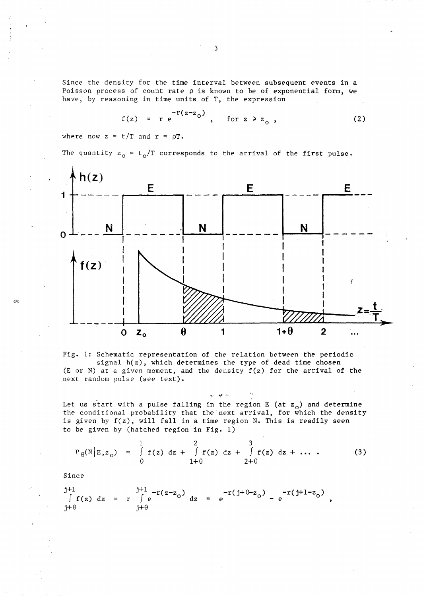Since the density for the time interval between subsequent events in a Poisson process of count *rate* p is known to be of exponential form, we

have, by reasoning in time units of T, the expression  
\n
$$
f(z) = r e^{-r(z-z_0)}, \quad \text{for } z > z_0,
$$
\n(2)

where now  $z = t/T$  and  $r = \rho T$ .

The quantity  $z_0 = t_0/T$  corresponds to the arrival of the first pulse.



Fig. 1: Schematic representation of the relation between the periodic signal h(z), which determines the type of dead time chosen (E or N) at a given moment, and the density  $f(z)$  for the arrival of the next random pulse (see text).

 $\omega=\frac{1}{2}e^{-i\omega_{\rm{eff}}}$ Let us start with a pulse falling in the region E (at  $z_0$ ) and determine the conditional probability that the next arrival, for which the density is given by  $f(z)$ , will fall in a time region N. This is readily seen to be given by (hatched region in Fig. 1)

$$
P_{\theta}(N|E, z_{0}) = \int_{\theta}^{1} f(z) dz + \int_{1+\theta}^{2} f(z) dz + \int_{2+\theta}^{3} f(z) dz + ...
$$
 (3)

Since

::Ob

j+l  $\int f(z) dz$  $\uparrow + \theta$  $\int_{r}^{j+1} e^{-r(z-z_0)} dz = e^{-r(j+\theta-z_0)} - e^{-r(j+1-z_0)},$  $i+\theta$ 

3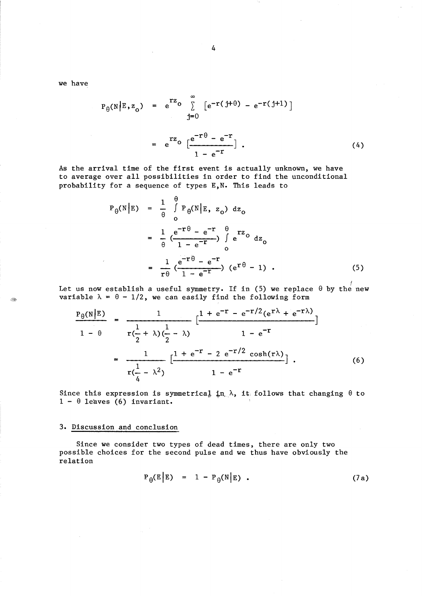we have

 $\langle \hat{\mathcal{L}}_T \rangle$ 

$$
P_{\theta}(N|E, z_{0}) = e^{rz_{0}} \sum_{j=0}^{\infty} [e^{-r(j+\theta)} - e^{-r(j+1)}]
$$
  

$$
= e^{rz_{0}} \left[ \frac{e^{-r\theta} - e^{-r}}{1 - e^{-r}} \right].
$$
 (4)

As the arrival time of the first event is actually unknown, we have to average over all possibilities in order to find the unconditional probability for a sequence of types E,N. This leads to

$$
P_{\theta}(N|E) = \frac{1}{\theta} \int_{0}^{\theta} P_{\theta}(N|E, z_{0}) dz_{0}
$$
  

$$
= \frac{1}{\theta} \left( \frac{e^{-r\theta} - e^{-r}}{1 - e^{-r}} \right) \int_{0}^{\theta} e^{rz_{0}} dz_{0}
$$
  

$$
= \frac{1}{r\theta} \left( \frac{e^{-r\theta} - e^{-r}}{1 - e^{-r}} \right) (e^{r\theta} - 1) .
$$
 (5)

Let us now establish a useful symmetry. If in (5) we replace  $\theta$  by the new variable  $\lambda = \theta - 1/2$ , we can easily find the following form

$$
\frac{P_{\theta}(N|E)}{1 - \theta} = \frac{1}{r(\frac{1}{2} + \lambda)(\frac{1}{2} - \lambda)} \left[ \frac{1 + e^{-r} - e^{-r/2}(e^{r\lambda} + e^{-r\lambda})}{1 - e^{-r}} \right]
$$
  

$$
= \frac{1}{r(\frac{1}{4} - \lambda^2)} \left[ \frac{1 + e^{-r} - 2 e^{-r/2} \cosh(r\lambda)}{1 - e^{-r}} \right].
$$
 (6)

Since this expression is symmetrical in.  $\lambda$ , it follows that changing  $\theta$  to  $1 - \theta$  leaves (6) invariant.

# 3. Discussion and conclusion

Since we consider two types of dead times, there are only two possible choices for the second pulse and we thus have obviously the relation

$$
P_{\theta}(E|E) = 1 - P_{\theta}(N|E) \qquad (7a)
$$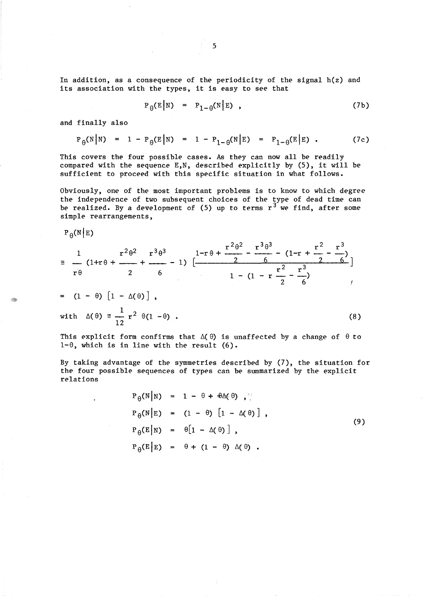In addition, as a consequence of the periodicity of the signal h(z) and its association with the types, it is easy to see that

$$
P_{\theta}(E|N) = P_{1-\theta}(N|E), \qquad (7b)
$$

and finally also

$$
P_{\theta}(N|N) = 1 - P_{\theta}(E|N) = 1 - P_{1-\theta}(N|E) = P_{1-\theta}(E|E)
$$
 (7c)

This covers the four possible cases. As they can now all be readily compared with the sequence E,N, described explicitly by (5), it will be sufficient to proceed with this specific situation in what follows.

Obviously, one of the most important problems is to know to which degree the independence of two subsequent choices of the type of dead time can be realized. By a development of  $(5)$  up to terms  $r^3$  we find, after some simple rearrangements,

 $P_{\theta}(N|E)$ 

Â

$$
\begin{aligned}\n&= \frac{1}{r\theta} (1+r\theta + \frac{r^2\theta^2}{r} + \frac{r^3\theta^3}{r} - 1) \left[ \frac{1-r\theta + \frac{r^2\theta^2}{r} - \frac{r^3\theta^3}{r} - (1-r + \frac{r^2}{r} - \frac{r^3}{r})}{1 - (1 - r\frac{r^2}{2} - \frac{r^3}{6})} \right] \\
&= (1-\theta) [1 - \Delta(\theta)], \\
&= (1-\theta) [1 - \Delta(\theta)], \\
&\text{with } \Delta(\theta) \le \frac{1}{12} r^2 \theta (1-\theta) .\n\end{aligned}
$$
\n(8)

This explicit form confirms that  $\Delta(\theta)$  is unaffected by a change of  $\theta$  to  $1-\theta$ , which is in line with the result (6).

By taking advantage of the symmetries described by (7), the situation for the four possible sequences of types can be summarized by the explicit relations

$$
P_{\theta}(N|N) = 1 - \theta + \theta \Delta(\theta), \quad \dots
$$
  
\n
$$
P_{\theta}(N|E) = (1 - \theta) [1 - \Delta(\theta)], \quad P_{\theta}(E|N) = \theta [1 - \Delta(\theta)], \quad P_{\theta}(E|E) = \theta + (1 - \theta) \Delta(\theta).
$$
  
\n(9)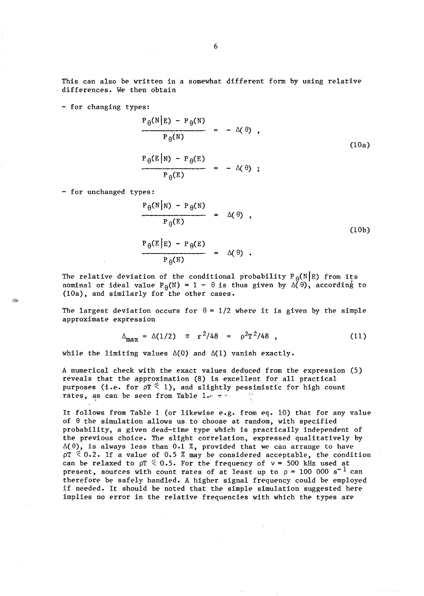This can also be written in a somewhat different form by using relative differences. We then obtain

- for changing types:

$$
\frac{P_{\theta}(N|E) - P_{\theta}(N)}{P_{\theta}(N)} = -\Delta(\theta),
$$
\n
$$
\frac{P_{\theta}(E|N) - P_{\theta}(E)}{P_{\theta}(E)} = -\Delta(\theta);
$$
\n(10a)

- for unchanged types:

$$
\frac{P_{\theta}(N|N) - P_{\theta}(N)}{P_{\theta}(E)} = \Delta(\theta),
$$
\n
$$
\frac{P_{\theta}(E|E) - P_{\theta}(E)}{P_{\theta}(N)} = \Delta(\theta).
$$
\n(10b)

The relative deviation of the conditional probability  $P_{\theta}(N|E)$  from its nominal or ideal value  $P_{\theta}(N) = 1 - \theta$  is thus given by  $\Delta(\theta)$ , according to (lOa), and similarly for the other cases.

The largest deviation occurs for  $\theta = 1/2$  where it is given by the simple approximate expression

$$
\Delta_{\text{max}} = \Delta(1/2) \cong r^2/48 = \rho^2 T^2/48 , \qquad (11)
$$

while the limiting values  $\Delta(0)$  and  $\Delta(1)$  vanish exactly.

A numerical check with the exact values deduced from the expression (5) reveals that the approximation (8) is excellent for all practical purposes (i.e. for  $pT \leq 1$ ), and slightly pessimistic for high count rates, as can be seen from Table 1. $\sim$   $\sim$ 

It follows from Table 1 (or likewise e.g. from eq. 10) that for any value of  $\theta$  the simulation allows us to choose at random, with specified probability, a given dead-time type which is practically independent of the previous choice. The slight correlation, expressed qualitatively by  $\Delta(\theta)$ , is always less than 0.1 %, provided that we can arrange to have  $pT \leq 0.2$ . If a value of 0.5 % may be considered acceptable, the condition can be relaxed to  $pT \le 0.5$ . For the frequency of  $v = 500$  kHz used at present, sources with count rates of at least up to  $\rho = 100000 \text{ s}^{-1}$  can therefore be safely handled. A higher signal frequency could be employed if needed. It should be noted that the simple simulation suggested here implies no error in the relative frequencies with which the types are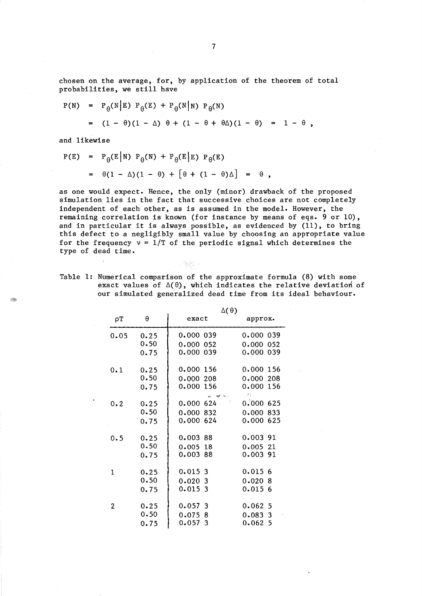chosen on the average, for, by application of the theorem of total probabilities, we still have

$$
P(N) = P_{\theta}(N|E) P_{\theta}(E) + P_{\theta}(N|N) P_{\theta}(N)
$$
  
=  $(1 - \theta)(1 - \Delta) \theta + (1 - \theta + \theta \Delta)(1 - \theta) = 1 - \theta$ ,

and likewise

 $\sim$ 

250

$$
P(E) = P_{\theta}(E|N) P_{\theta}(N) + P_{\theta}(E|E) P_{\theta}(E)
$$
  
=  $\theta(1 - \Delta)(1 - \theta) + [\theta + (1 - \theta)\Delta] = \theta$ ,

as one would expect. Hence, the only (minor) drawback of the proposed simulation lies in the fact that successive choices are not completely independent of each other, as is assumed in the model. However, the remaining correlation is known (for instance by means of eqs. 9 or 10), and in particular it is always possible, as evidenced by (11), to bring this defect to a negligibly small value by choosing an appropriate value for the frequency  $v = 1/T$  of the periodic signal which determines the type of dead time.

Table 1: Numerical comparison of the approximate formula (8) with some exact values of  $\Delta(\theta)$ , which indicates the relative deviation of our simulated generalized dead time from its ideal behaviour.

网络好子

|          |      | $\Delta(\theta)$          |                  |
|----------|------|---------------------------|------------------|
| $\rho T$ | θ    | exact                     | approx.          |
| 0.05     | 0.25 | 0.000 039                 | 0.000 039        |
|          | 0.50 | 0.000<br>052              | 0.000<br>052     |
|          | 0.75 | 0.000 039                 | 0.000039         |
| 0.1      | 0.25 | 0.000 156                 | 0.000 156        |
|          | 0.50 | 0.000<br>208              | 0.000<br>208     |
|          | 0.75 | 0.000<br>156              | 0.000 156        |
|          |      | <b>Address</b>            | 93               |
| 0.2      | 0.25 | 0.000624                  | 0.000625         |
|          | 0.50 | 0.000<br>832              | 0.000<br>833     |
|          | 0.75 | 0.000 624                 | 625<br>0.000     |
| 0.5      | 0.25 | 0.00388                   | $0.003$ 91       |
|          | 0.50 | $0.005$ 18                | 0.00521          |
|          | 0.75 | 0.003 88                  | 0.003 91         |
| 1        | 0.25 | 0.0153                    | 0.0156           |
|          | 0.50 | 0.0203                    | 0.020<br>8       |
|          | 0.75 | 0.0153                    | 0.0156           |
| 2        | 0.25 | 0.057<br>3                | 0.0625           |
|          | 0.50 |                           |                  |
|          |      | 0.075<br>-8<br>0.057<br>3 | 0.0833<br>0.0625 |
|          | 0.75 |                           |                  |